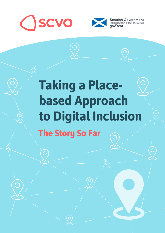

 $\bigcirc$ 

 $\overline{C}$ 



# **Taking a Placebased Approach to Digital InclusionThe Story So Far**  $\overline{\bigcirc}$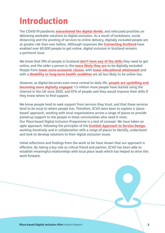## **Introduction**

The COVID-19 pandemic **[exacerbated the digital divide](https://www.cam.ac.uk/stories/digitaldivide)**, and refocused priorities on delivering workable solutions to digital exclusion. As a result of lockdowns, social distancing and the pivoting of services to online delivery, digitally excluded people are at greater risk than ever before. Although responses like **[Connecting Scotland](https://connecting.scot/)** have enabled over 60,000 people to get online, digital inclusion in Scotland remains a pertinent issue.

We know that 19% of people in Scotland **[don't have any of the skills](https://www.lloydsbank.com/assets/media/pdfs/banking_with_us/whats-happening/211109-lloyds-essential-digital-skills-report-2021.pdf#page=12)** they need to get online, and the older a person is, the **[more likely they are](https://www.lloydsbank.com/assets/media/pdfs/banking_with_us/whats-happening/210513-lloyds-consumer-digital-index-2021-report.pdf#page=29)** to be digitally excluded. People from **[lower socio-economic classes](https://storage.googleapis.com/scvo-cms/__data/assets/pdf_file/0025/217834/adults-media-use-and-attitudes-report-2020-21.pdf#page=5)**, with **[lower educational attainment](https://www.ageuk.org.uk/globalassets/age-uk/documents/reports-and-publications/age_uk_digital_inclusion_evidence_review_2018.pdf#page=21)** and with a **[disability or long-term health condition](https://www.ons.gov.uk/peoplepopulationandcommunity/householdcharacteristics/homeinternetandsocialmediausage/articles/exploringtheuksdigitaldivide/2019-03-04#what-is-the-pattern-of-internet-usage-among-disabled-people)** are all less likely to be online too.

However, as digital becomes even more central to daily life, **[people are upskilling and](https://www.lloydsbank.com/assets/media/pdfs/banking_with_us/whats-happening/210513-lloyds-consumer-digital-index-2021-report.pdf#page=5)  [becoming more digitally engaged](https://www.lloydsbank.com/assets/media/pdfs/banking_with_us/whats-happening/210513-lloyds-consumer-digital-index-2021-report.pdf#page=5).** 1.5 million more people have started using the internet in the UK since 2020, and 67% of people said they would improve their skills if they knew where to find support.

We know people tend to seek support from services they trust, and that these services tend to be local to where people live. Therefore, SCVO were keen to explore a 'placebased' approach, working with local organisations across a range of places to provide joined-up support to the people in these communities who need it most. Our Place-based Digital Inclusion Programme is a test of concept. We have taken an agile approach, following the principles of the **[Scottish Approach to Service Design](https://www.gov.scot/publications/the-scottish-approach-to-service-design/)**, working iteratively and in collaboration with a range of places to identify, understand and look to develop solutions to their digital exclusion issues.

Initial reflections and findings from the work so far have shown that our approach is effective. By taking a key role as critical friend and partner, SCVO has been able to establish meaningful relationships with local place leads which has helped to drive this work forward.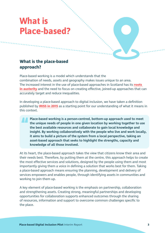## **What is Place-based?**

## **What is the place-based approach?**

Place-based working is a model which understands that the combination of needs, assets and geography makes issues unique to an area. The increased interest in the use of place-based approaches in Scotland has its **[roots](https://journals.sagepub.com/doi/abs/10.1177/0269094212463786)  [in austerity](https://journals.sagepub.com/doi/abs/10.1177/0269094212463786)** and the need to focus on creating effective, joined-up approaches that can accurately target and reduce inequalities.

In developing a place-based approach to digital inclusion, we have taken a definition published by **[IRISS in 2015](https://www.iriss.org.uk/resources/irisson/place-based-working)** as a starting point for our understanding of what it means in this context.

**Place-based working is a person-centred, bottom-up approach used to meet the unique needs of people in one given location by working together to use the best available resources and collaborate to gain local knowledge and insight. By working collaboratively with the people who live and work locally, it aims to build a picture of the system from a local perspective, taking an asset-based approach that seeks to highlight the strengths, capacity and knowledge of all those involved.** 

At its heart, the place-based approach takes the view that citizens know their area and their needs best. Therefore, by putting them at the centre, this approach helps to create the most effective services and solutions, designed by the people using them and most importantly giving them a voice in defining a solution that works best for them. Taking a place-based approach means ensuring the planning, development and delivery of services empowers and enables people, through identifying assets in communities and working to join them up.

A key element of place-based working is the emphasis on partnership, collaboration and strengthening assets. Creating strong, meaningful partnerships and developing opportunities for collaboration supports enhanced outcomes through the sharing of resources, information and support to overcome common challenges specific to the place.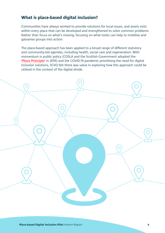## **What is place-based digital inclusion?**

Communities have always worked to provide solutions for local issues, and assets exist within every place that can be developed and strengthened to solve common problems. Rather than focus on what's missing, focusing on what exists can help to mobilise and galvanise groups into action.

The place-based approach has been applied to a broad range of different statutory and community-led agendas, including health, social care and regeneration. With momentum in public policy (COSLA and the Scottish Government adopted the **['Place Principle'](https://www.gov.scot/publications/place-principle-introduction/)** in 2019) and the COVID-19 pandemic prioritising the need for digital inclusion solutions, SCVO felt there was value in exploring how this approach could be utilised in the context of the digital divide.

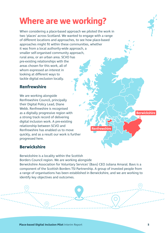## **Where are we working?**

When considering a place-based approach we piloted the work in two 'places' across Scotland. We wanted to engage with a range of different locations and approaches, to see how place-based approaches might fit within these communities, whether it was from a local authority-wide approach, a smaller self-organised community approach, rural area, or an urban area. SCVO has pre-existing relationships with the areas chosen for this work, all of whom expressed an interest in looking at different ways to tackle digital exclusion locally.

## **Renfrewshire**

We are working alongside Renfrewshire Council, principally their Digital Policy Lead, Diane Webb. Renfrewshire is recognised as a digitally progressive region with a strong track record of delivering digital inclusion work. A pre-existing relationship between SCVO and Renfrewshire has enabled us to move quickly, and as a result our work is further progressed here.

### **Berwickshire**

**Renfrewshire**

### **Berwickshire**

Berwickshire is a locality within the Scottish Borders Council region. We are working alongside Berwickshire Association for Voluntary Services' (Bavs) CEO Juliana Amaral. Bavs is a component of the Scottish Borders TSI Partnership. A group of invested people from a range of organisations has been established in Berwickshire, and we are working to identify key objectives and outcomes.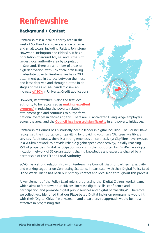## **Renfrewshire**

## **Background / Context**

Renfrewshire is a local authority area in the west of Scotland and covers a range of large and small towns, including Paisley, Johnstone, Howwood, Bishopton and Elderslie. It has a population of around 179,390 and is the 10th largest local authority area by population in Scotland. There are a number of areas of high deprivation, with 15% of children living in absolute poverty. Renfrewshire has a 20% attainment gap in literacy between the most and least deprived and throughout the initial stages of the COVID-19 pandemic saw an increase **[of 80%](https://renfrewshire.cmis.uk.com/renfrewshire/Document.ashx?czJKcaeAi5tUFL1DTL2UE4zNRBcoShgo=yBsFh1kyVX7MTrtXyYBXmhI6VN5EBmCd6ceq9xLd%2fEOoIQSjm%2b8fxw%3d%3d&rUzwRPf%2bZ3zd4E7Ikn8Lyw%3d%3d=pwRE6AGJFLDNlh225F5QMaQWCtPHwdhUfCZ%2fLUQzgA2uL5jNRG4jdQ%3d%3d&mCTIbCubSFfXsDGW9IXnlg%3d%3d=hFflUdN3100%3d&kCx1AnS9%2fpWZQ40DXFvdEw%3d%3d=hFflUdN3100%3d&uJovDxwdjMPoYv%2bAJvYtyA%3d%3d=ctNJFf55vVA%3d&FgPlIEJYlotS%2bYGoBi5olA%3d%3d=NHdURQburHA%3d&d9Qjj0ag1Pd993jsyOJqFvmyB7X0CSQK=ctNJFf55vVA%3d&WGewmoAfeNR9xqBux0r1Q8Za60lavYmz=ctNJFf55vVA%3d&WGewmoAfeNQ16B2MHuCpMRKZMwaG1PaO=ctNJFf55vVA%3d#page=6)** in Universal Credit applications.

However, Renfrewshire is also the first local authority to be recognised as **[making 'excellent](https://education.gov.scot/media/l0sj5w1h/renfrewshireila190219.pdf#page=13)  [progress'](https://education.gov.scot/media/l0sj5w1h/renfrewshireila190219.pdf#page=13)** in reducing the poverty-related attainment gap and continues to outperform



across the area, and the **Council has invested significantly** in anti-poverty initiatives. national averages in decreasing this. There are 80 accredited Living Wage employers

partnership of the TSI and Local Authority. RenfrewshireCouncil has historically been a leader in digital inclusion. The Council have recognised the importance of upskilling by providing voluntary 'Digiteers' via library services. Additionally, there is a strong emphasis on connectivity: CityFibre have invested in a 700km network to provide reliable gigabit speed connectivity, initially reaching 75% of properties. Digital participation work is further supported by 'DigiRen' – a digital inclusion network of 35 organisations sharing knowledge and expertise chaired by a

SCVO has a strong relationship with Renfrewshire Council, via prior partnership activity and working together on Connecting Scotland, in particular with their Digital Policy Lead Diane Webb. Diane has been our primary contact and local lead throughout this process.

 effective in progressing this. A key element of the Policy Lead role is progressing the 'Digital Citizen' workstream, which aims to 'empower our citizens, increase digital skills, confidence and participation and promote digital public services and digital partnerships'. Therefore, we collectively identified that our Place-based Digital Inclusion programme would fit with their 'Digital Citizen' workstream, and a partnership approach would be most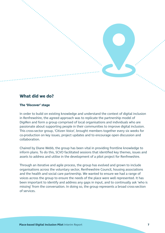

#### **The 'Discover' stage**

collaboration In order to build on existing knowledge and understand the context of digital inclusion in Renfrewshire, the agreed approach was to replicate the partnership model of DigiRen and form a group comprised of local organisations and individuals who are passionate about supporting people in their communities to improve digital inclusion. This cross-sector group, 'Citizen Voice', brought members together every six weeks for co-production on key issues, project updates and to encourage open discussion and

assets to address and utilise in the development of a pilot project for Renfrewshire. Chaired by Diane Webb, the group has been vital in providing frontline knowledge to inform plans. To do this, SCVO facilitated sessions that identified key themes, issues and

 of services. Through an iterative and agile process, the group has evolved and grown to include organisations across the voluntary sector, Renfrewshire Council, housing associations and the health and social care partnership. We wanted to ensure we had a range of voices across the group to ensure the needs of the place were well represented. It has been important to identify and address any gaps in input, and to continually ask 'who is missing' from the conversation. In doing so, the group represents a broad cross-section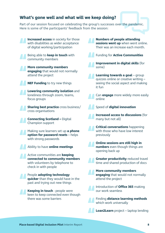## **What's gone well and what will we keep doing?**

Part of our session focused on celebrating the group's successes over the pandemic. Here is some of the participants' feedback from the session:



**Numbers of people attending sessions went up** when went online. Their was an increase each month.

**Improvement in digital skills** (for

**Learning towards a goal** – group quizzes online or creative writing – seeing the social aspect and making

- Can **engage** more widely more easily
	- Speed of **digital innovation**

**Increased access to discussions** (for many but not all)

**Critical conversations** happening with those who have low interest

**Online sessions are still high in numbers** even though things are opening back up

**Greater productivity** reduced travel time and shared production of docs

**More community members engaging** that would not normally attend the project

Introduction of **Office 365** making our work seamless

Finding **distance learning methods**  which work universally

**Loan2Learn** project – laptop lending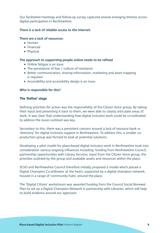Our facilitated meetings and follow-up survey captured several emerging themes across digital participation in Renfrewshire.

#### **There is a lack of reliable access to the internet.**

### **There are a lack of resources:**

- Human
- Financial
- Physical

#### **The approach to supporting people online needs to be refined**

- Online fatique is an issue
- The persistence of fear / culture of resistance
- Better communication, sharing information, marketing and asset mapping is required
- Accessibility and accessibility design is an issue.

#### **Who is responsible for this?**

#### **The 'Define' stage**

to address the issues outlined was key. Defining priorities for action was the responsibility of the Citizen Voice group. By taking their input and presenting it back to them, we were able to clearly articulate areas of work. It was clear that understanding how digital inclusion work could be co-ordinated

production group was formed to look at potential solutions. Secondary to this, there was a persistent concern around a lack of resource bank or 'directory' for digital inclusion support in Renfrewshire. To address this, a smaller co-

Developing a pilot model for place-based digital inclusion work in Renfrewshire took into consideration various ongoing influences including: funding from Renfrewshire Council, partnership opportunities with Library Services, input from the Citizen Voice group, the priorities outlined by the group and available assets and resources within the place.

 housed in a range of 'community hubs' around the place. SCVO and Renfrewshire Council therefore initially proposed a model which placed a Digital Champion Co-ordinator at the heart, supported by a digital champion network,

The 'Digital Citizen' workstream was awarded funding from the Council Social Renewal Plan to set up a Digital Champion Network in partnership with Libraries, which will help to build evidence around our approach.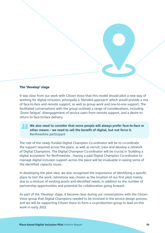#### **The 'Develop' stage**

It was clear from our work with Citizen Voice that this model should pilot a new way of working for digital inclusion, principally a 'blended approach' which would provide a mix of face-to-face and remote support, as well as group work and one-to-one support. The facilitated conversations with the group outlined a range of considerations, including 'Zoom fatigue', disengagement of service users from remote support, and a desire to return to face-to-face delivery.

**We also need to consider that some people will always prefer face-to-face or other means – we need to sell the benefit of digital, but not force it.**  Renfrewshire participant

The role of the newly funded Digital Champion Co-ordinator will be to co-ordinate the support required across the place, as well as recruit, train and develop a network of Digital Champions. The Digital Champion Co-ordinator will be crucial in 'building a digital ecosystem' for Renfrewshire. Having a paid Digital Champion Co-ordinator to manage digital inclusion support across the place will be invaluable in easing some of the identified capacity issues.

In developing the pilot idea, we also recognised the importance of identifying a specific place to test the work. Johnstone was chosen as the location of our first pilot mainly due to a mixture of existing assets and identified needs, in addition to the number of partnership opportunities and potential for collaboration going forward.

 work in early 2022. As part of the 'Develop' stage, it became clear during our conversations with the Citizen Voice group that Digital Champions needed to be involved in the service design process, and we will be supporting Citizen Voice to form a co-production group to lead on this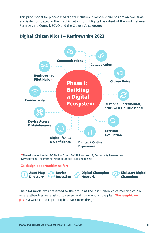This pilot model for place-based digital inclusion in Renfrewshire has grown over time and is demonstrated in the graphic below. It highlights the extent of the work between Renfrewshire Council, SCVO and the Citizen Voice group:



## **Digital Citizen Pilot 1 – Renfrewshire 2022**

**\***These include libraries, AC Station 7 Hub, RAMH, Linstone HA, Community Learning and Development, The Promise, Neighbourhood Hub, Engage etc

#### **Co-design opportunities so far:**



The pilot model was presented to the group at the last Citizen Voice meeting of 2021, where attendees were asked to review and comment on the plan. **[The graphic on](#page-11-0)  [p12](#page-11-0)** is a word cloud capturing feedback from the group.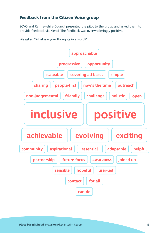## <span id="page-11-0"></span>**Feedback from the Citizen Voice group**

SCVO and Renfrewshire Council presented the pilot to the group and asked them to provide feedback via Menti. The feedback was overwhelmingly positive.

We asked "What are your thoughts in a word?":

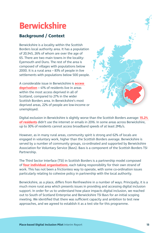## **Berwickshire**

## **Background / Context**

Berwickshire is a locality within the Scottish Borders local authority area. It has a population of 20,945, 26% of whom are over the age of 65. There are two main towns in the locality: Eyemouth and Duns. The rest of the area is composed of villages with populations below 2000. It is a rural area – 83% of people in live settlements with populations below 500 people.

A considerable issue in Berwickshire is **[access](https://www.scotborders.gov.uk/download/downloads/id/7592/berwickshire_locality_plan.pdf)  [deprivation](https://www.scotborders.gov.uk/download/downloads/id/7592/berwickshire_locality_plan.pdf)** – 41% of residents live in areas within the most access deprived in all of Scotland, compared to 27% in the wider Scottish Borders area. In Berwickshire's most deprived areas, 22% of people are low-income or unemployed.

Digital exclusion in Berwickshire is slightly worse than the Scottish Borders average: **[15.2%](https://www.scotborders.gov.uk/download/downloads/id/2246/strategic_assessment_2016.pdf)  [of residents](https://www.scotborders.gov.uk/download/downloads/id/2246/strategic_assessment_2016.pdf)** didn't use the internet or emails in 2016. In some areas across Berwickshire, up to 30% of residents cannot access broadband speeds of at least 2Mb/s.

However, as in many rural areas, community spirit is strong and 62% of locals are engaged in voluntary work, higher than the Scottish Borders average. Berwickshire is served by a number of community groups, co-ordinated and supported by Berwickshire Association for Voluntary Service (Bavs). Bavs is a component of the Scottish Borders TSI Partnership.

The Third Sector Interface (TSI) in Scottish Borders is a partnership model composed of **[four individual organisations](https://borderstsi.org.uk/)**, each taking responsibility for their own strand of work. This has not been a frictionless way to operate, with some co-ordination issues particularly relating to cohesive policy in partnership with the local authority.

Berwickshire, as a place, differs from Renfrewshire in a number of ways. Principally, it is a much more rural area which presents issues in providing and accessing digital inclusion support. In order for us to understand how place impacts digital inclusion, we reached out to South of Scotland Enterprise and Berwickshire TSI Bavs for an initial scoping meeting. We identified that there was sufficient capacity and ambition to test new approaches, and we agreed to establish it as a test site for this programme.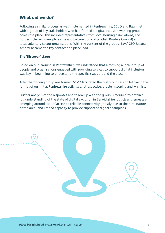### **What did we do?**

Following a similar process as was implemented in Renfrewshire, SCVO and Bavs met with a group of key stakeholders who had formed a digital inclusion working group across the place. This included representatives from local housing associations, Live Borders (the arms-length leisure and culture body of Scottish Borders Council) and local voluntary sector organisations. With the consent of the groups, Bavs' CEO Juliana Amaral became the key contact and place lead.

#### **The 'Discover' stage**

Based on our learning in Renfrewshire, we understood that a forming a local group of people and organisations engaged with providing services to support digital inclusion was key in beginning to understand the specific issues around the place.

After the working group was formed, SCVO facilitated the first group session following the format of our initial Renfrewshire activity: a retrospective, problem-scoping and 'wishlist'.

Further analysis of the responses and follow-up with the group is required to obtain a full understanding of the state of digital exclusion in Berwickshire, but clear themes are emerging around lack of access to reliable connectivity (mostly due to the rural nature of the area) and limited capacity to provide support as digital champions.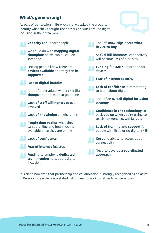## **What's gone wrong?**

As part of our session in Berwickshire, we asked the group to identify what they thought the barriers or issues around digital inclusion in their area were.





It is clear, however, that partnership and collaboration is strongly recognised as an asset in Berwickshire – there is a stated willingness to work together to achieve goals.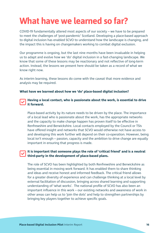## **What have we learned so far?**

COVID-19 fundamentally altered most aspects of our society – we have to be prepared to meet the challenges of 'post-pandemic' Scotland. Developing a place-based approach to digital inclusion has enabled SCVO to understand how the landscape is changing, and the impact this is having on changemakers working to combat digital exclusion.

Our programme is ongoing, but the last nine months have been invaluable in helping us to adapt and evolve how we 'do' digital inclusion in a fast-changing landscape. We know that some of these lessons may be reactionary and not reflective of long-term action. Instead, the lessons we present here should be taken as a record of what we know right now.

As interim learning, these lessons do come with the caveat that more evidence and analysis may be required.

#### **What have we learned about how we 'do' place-based digital inclusion?**

#### **Having a local contact, who is passionate about the work, is essential to drive it forward.**

Place-based activity by its nature needs to be driven by the place. The importance of a local lead who is passionate about the work, has the appropriate networks and the capacity to make change happen has proven itself to be effective in Renfrewshire and Berwickshire. Local contacts employed by the Council or TSIs have offered insight and networks that SCVO would otherwise not have access to and developing this work further will depend on their co-operation. However, being local isn't enough – passion, capacity and the ambition to drive change are equally important in ensuring that progress is made.

### **third-party in the development of place-based plans. It is important that someone plays the role of 'critical friend' and is a neutral**

The role of SCVO has been highlighted by both Renfrewshire and Berwickshire as being essential in moving work forward. It has enabled them to share thinking and ideas and receive honest and informed feedback. The critical friend allows for a greater diversity of experience and can challenge thinking at a local level by external facilitation of discussion, bringing across shared learning and supporting understanding of 'what works'. The national profile of SCVO has also been an important influence in this work – our existing networks and awareness of work in other areas can help us to 'join the dots' and help to strengthen partnerships by bringing key players together to achieve specific goals.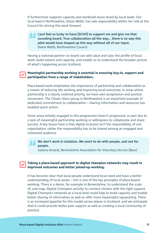Council for driving this work forward. It furthermore supports capacity and workload issues faced by local leads. Our local lead in Renfrewshire, Diane Webb, has sole responsibility within her role at the

**I just feel so lucky to have [SCVO] to support me and give me that sounding board. True collaboration all the way... there is no way this pilot would have shaped up this way without all of our input.**  Diane Webb, Renfrewshire Council

Having a national partner on board can add value and raise the profile of local work, build esteem and capacity, and enable us to understand the broader picture of what's happening across Scotland.

### **Meaningful partnership working is essential in ensuring buy-in, support and participation from a range of stakeholders.**

Place-based work emphasises the importance of partnership and collaboration as a means of reducing silo working and improving local outcomes. In areas where partnership is a clearly outlined priority, we have seen progression and positive movement. The Citizen Voice group in Renfrewshire is an important example of dedicated commitment to collaboration – sharing information and resources has enabled quick action.

 interested audience. Some areas initially engaged in this programme haven't progressed, in part due to a lack of meaningful partnership working or willingness to collaborate and share success. A key lesson here is that digital inclusion isn't the responsibility of one organisation, rather the responsibility has to be shared among an engaged and

### **We don't work in isolation. We want to do with people, and not for people.**

Juliana Amaral, Berwickshire Association for Voluntary Service (Bavs)

### **Taking a place-based approach to digital champion networks may result in improved outcomes and better joined-up working.**

of, and map, Digital Champion activity to connect citizens with the right support. It has become clear that local people understand local need and have a better understanding of local assets – this is one of the key principles of place-based working. There is a desire, for example in Berwickshire, to understand the scale Digital Champion networks at a local level could help to build capacity and enable better sharing of information as well as offer more meaningful signposting. There is an increased appetite for this model across places in Scotland, and we anticipate that it could provide better peer support as well as creating a local community of practice.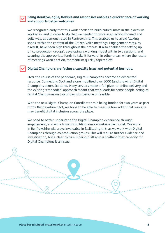### **and supports better outcomes. Being iterative, agile, flexible and responsive enables a quicker pace of working**

 of meetings wasn't action, momentum quickly tapered off. We recognised early that this work needed to build critical mass in the places we worked in, and in order to do that we needed to work in an action-focused and agile way, as demonstrated in Renfrewshire. This enabled us to avoid 'talking shops' within the context of the Citizen Voice meetings. Engagement rates, as a result, have been high throughout the process. It also enabled the setting up of 'co-production groups', developing a working model within two sessions, and securing the appropriate funds to take it forward. In other areas, where the result

### **Digital Champions are facing a capacity issue and potential burnout.**

Over the course of the pandemic, Digital Champions became an exhausted resource. Connecting Scotland alone mobilised over 3000 (and growing) Digital Champions across Scotland. Many services made a full pivot to online delivery and the existing 'embedded' approach meant that workloads for some people acting as Digital Champions on top of day jobs became unfeasible.

With the new Digital Champion Coordinator role being funded for two years as part of the Renfrewshire pilot, we hope to be able to measure how additional resource may benefit digital inclusion across the place.

 Digital Champions is an issue. We need to better understand the Digital Champion experience through engagement, and work towards building a more sustainable model. Our work in Renfrewshire will prove invaluable in facilitating this, as we work with Digital Champions through co-production groups. This will require further evidence and investigation, but a clear picture is being built across Scotland that capacity for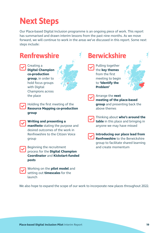## **Next Steps**

Our Place-based Digital Inclusion programme is an ongoing piece of work. This report has summarised and drawn interim lessons from the past nine months. As we move forward, we will continue to work in the areas we've discussed in this report. Some next steps include:



We also hope to expand the scope of our work to incorporate new places throughout 2022.